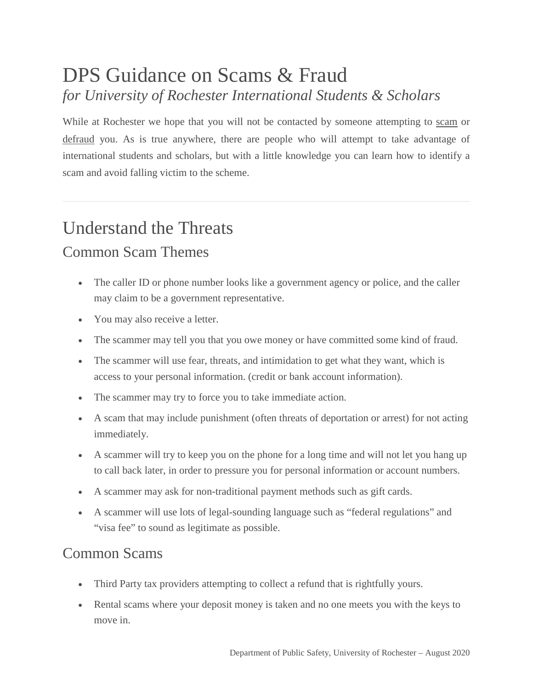## DPS Guidance on Scams & Fraud *for University of Rochester International Students & Scholars*

While at Rochester we hope that you will not be contacted by someone attempting to scam or defraud you. As is true anywhere, there are people who will attempt to take advantage of international students and scholars, but with a little knowledge you can learn how to identify a scam and avoid falling victim to the scheme.

## Understand the Threats

#### Common Scam Themes

- The caller ID or phone number looks like a government agency or police, and the caller may claim to be a government representative.
- You may also receive a letter.
- The scammer may tell you that you owe money or have committed some kind of fraud.
- The scammer will use fear, threats, and intimidation to get what they want, which is access to your personal information. (credit or bank account information).
- The scammer may try to force you to take immediate action.
- A scam that may include punishment (often threats of deportation or arrest) for not acting immediately.
- A scammer will try to keep you on the phone for a long time and will not let you hang up to call back later, in order to pressure you for personal information or account numbers.
- A scammer may ask for non-traditional payment methods such as gift cards.
- A scammer will use lots of legal-sounding language such as "federal regulations" and "visa fee" to sound as legitimate as possible.

### Common Scams

- Third Party tax providers attempting to collect a refund that is rightfully yours.
- Rental scams where your deposit money is taken and no one meets you with the keys to move in.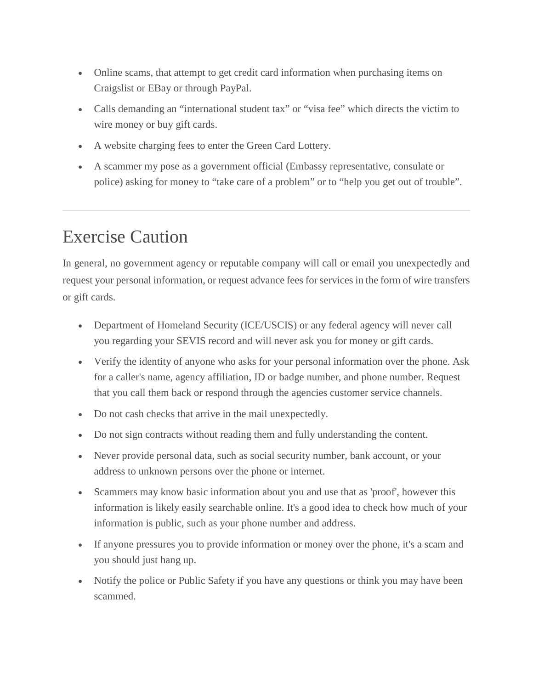- Online scams, that attempt to get credit card information when purchasing items on Craigslist or EBay or through PayPal.
- Calls demanding an "international student tax" or "visa fee" which directs the victim to wire money or buy gift cards.
- A website charging fees to enter the Green Card Lottery.
- A scammer my pose as a government official (Embassy representative, consulate or police) asking for money to "take care of a problem" or to "help you get out of trouble".

# Exercise Caution

In general, no government agency or reputable company will call or email you unexpectedly and request your personal information, or request advance fees for services in the form of wire transfers or gift cards.

- Department of Homeland Security (ICE/USCIS) or any federal agency will never call you regarding your SEVIS record and will never ask you for money or gift cards.
- Verify the identity of anyone who asks for your personal information over the phone. Ask for a caller's name, agency affiliation, ID or badge number, and phone number. Request that you call them back or respond through the agencies customer service channels.
- Do not cash checks that arrive in the mail unexpectedly.
- Do not sign contracts without reading them and fully understanding the content.
- Never provide personal data, such as social security number, bank account, or your address to unknown persons over the phone or internet.
- Scammers may know basic information about you and use that as 'proof', however this information is likely easily searchable online. It's a good idea to check how much of your information is public, such as your phone number and address.
- If anyone pressures you to provide information or money over the phone, it's a scam and you should just hang up.
- Notify the police or Public Safety if you have any questions or think you may have been scammed.